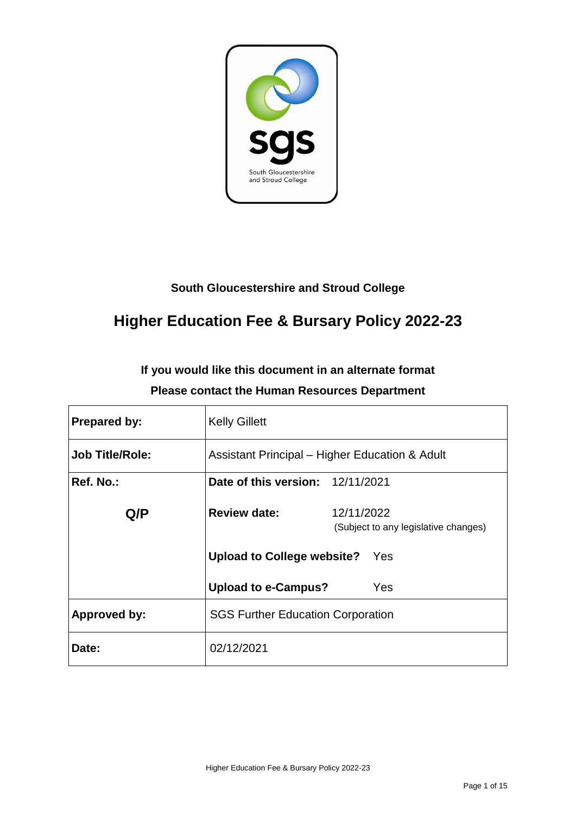

## **South Gloucestershire and Stroud College**

# **Higher Education Fee & Bursary Policy 2022-23**

## **If you would like this document in an alternate format Please contact the Human Resources Department**

| <b>Prepared by:</b>    | <b>Kelly Gillett</b>                           |                                      |  |
|------------------------|------------------------------------------------|--------------------------------------|--|
| <b>Job Title/Role:</b> | Assistant Principal – Higher Education & Adult |                                      |  |
| Ref. No.:              | Date of this version: 12/11/2021               |                                      |  |
| Q/P                    | <b>Review date:</b><br>12/11/2022              | (Subject to any legislative changes) |  |
|                        | <b>Upload to College website?</b> Yes          |                                      |  |
|                        | <b>Upload to e-Campus?</b><br><b>Yes</b>       |                                      |  |
| <b>Approved by:</b>    | <b>SGS Further Education Corporation</b>       |                                      |  |
| Date:                  | 02/12/2021                                     |                                      |  |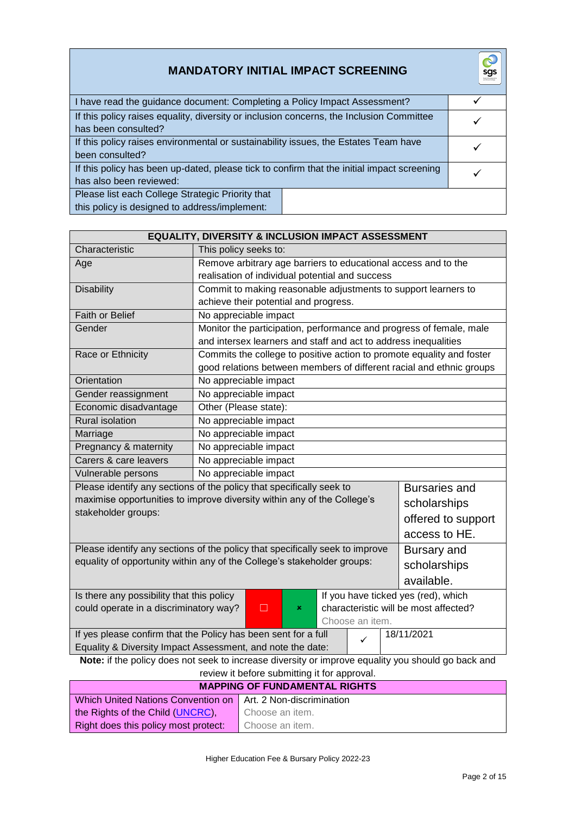| <b>MANDATORY INITIAL IMPACT SCREENING</b>                                                                             | sgs<br>South Glouzageard |
|-----------------------------------------------------------------------------------------------------------------------|--------------------------|
| I have read the guidance document: Completing a Policy Impact Assessment?                                             |                          |
| If this policy raises equality, diversity or inclusion concerns, the Inclusion Committee<br>has been consulted?       |                          |
| If this policy raises environmental or sustainability issues, the Estates Team have<br>been consulted?                |                          |
| If this policy has been up-dated, please tick to confirm that the initial impact screening<br>has also been reviewed: |                          |
| Please list each College Strategic Priority that<br>this policy is designed to address/implement:                     |                          |

| <b>EQUALITY, DIVERSITY &amp; INCLUSION IMPACT ASSESSMENT</b>                                       |                                                                                                |                                                                |  |  |  |  |                                                                       |
|----------------------------------------------------------------------------------------------------|------------------------------------------------------------------------------------------------|----------------------------------------------------------------|--|--|--|--|-----------------------------------------------------------------------|
| Characteristic                                                                                     |                                                                                                | This policy seeks to:                                          |  |  |  |  |                                                                       |
| Age                                                                                                |                                                                                                | Remove arbitrary age barriers to educational access and to the |  |  |  |  |                                                                       |
|                                                                                                    |                                                                                                | realisation of individual potential and success                |  |  |  |  |                                                                       |
| <b>Disability</b>                                                                                  |                                                                                                |                                                                |  |  |  |  | Commit to making reasonable adjustments to support learners to        |
|                                                                                                    |                                                                                                | achieve their potential and progress.                          |  |  |  |  |                                                                       |
| <b>Faith or Belief</b>                                                                             |                                                                                                | No appreciable impact                                          |  |  |  |  |                                                                       |
| Gender                                                                                             |                                                                                                |                                                                |  |  |  |  | Monitor the participation, performance and progress of female, male   |
|                                                                                                    |                                                                                                |                                                                |  |  |  |  | and intersex learners and staff and act to address inequalities       |
| Race or Ethnicity                                                                                  |                                                                                                |                                                                |  |  |  |  | Commits the college to positive action to promote equality and foster |
|                                                                                                    |                                                                                                |                                                                |  |  |  |  | good relations between members of different racial and ethnic groups  |
| Orientation                                                                                        |                                                                                                | No appreciable impact                                          |  |  |  |  |                                                                       |
| Gender reassignment                                                                                |                                                                                                | No appreciable impact                                          |  |  |  |  |                                                                       |
| Economic disadvantage                                                                              |                                                                                                | Other (Please state):                                          |  |  |  |  |                                                                       |
| <b>Rural isolation</b>                                                                             |                                                                                                | No appreciable impact                                          |  |  |  |  |                                                                       |
| Marriage                                                                                           |                                                                                                | No appreciable impact                                          |  |  |  |  |                                                                       |
| Pregnancy & maternity                                                                              |                                                                                                | No appreciable impact                                          |  |  |  |  |                                                                       |
| Carers & care leavers                                                                              |                                                                                                | No appreciable impact                                          |  |  |  |  |                                                                       |
| Vulnerable persons                                                                                 |                                                                                                | No appreciable impact                                          |  |  |  |  |                                                                       |
| Please identify any sections of the policy that specifically seek to<br><b>Bursaries and</b>       |                                                                                                |                                                                |  |  |  |  |                                                                       |
| maximise opportunities to improve diversity within any of the College's<br>scholarships            |                                                                                                |                                                                |  |  |  |  |                                                                       |
| stakeholder groups:                                                                                |                                                                                                |                                                                |  |  |  |  | offered to support                                                    |
|                                                                                                    |                                                                                                |                                                                |  |  |  |  | access to HE.                                                         |
| Please identify any sections of the policy that specifically seek to improve                       |                                                                                                |                                                                |  |  |  |  |                                                                       |
| equality of opportunity within any of the College's stakeholder groups:                            |                                                                                                |                                                                |  |  |  |  | Bursary and                                                           |
|                                                                                                    |                                                                                                |                                                                |  |  |  |  | scholarships                                                          |
|                                                                                                    |                                                                                                |                                                                |  |  |  |  | available.                                                            |
| Is there any possibility that this policy                                                          |                                                                                                |                                                                |  |  |  |  | If you have ticked yes (red), which                                   |
|                                                                                                    | $\Box$<br>characteristic will be most affected?<br>could operate in a discriminatory way?<br>× |                                                                |  |  |  |  |                                                                       |
| Choose an item.                                                                                    |                                                                                                |                                                                |  |  |  |  |                                                                       |
| If yes please confirm that the Policy has been sent for a full<br>18/11/2021<br>$\checkmark$       |                                                                                                |                                                                |  |  |  |  |                                                                       |
| Equality & Diversity Impact Assessment, and note the date:                                         |                                                                                                |                                                                |  |  |  |  |                                                                       |
| Note: if the policy does not seek to increase diversity or improve equality you should go back and |                                                                                                |                                                                |  |  |  |  |                                                                       |
| review it before submitting it for approval.                                                       |                                                                                                |                                                                |  |  |  |  |                                                                       |
| <b>MAPPING OF FUNDAMENTAL RIGHTS</b>                                                               |                                                                                                |                                                                |  |  |  |  |                                                                       |
|                                                                                                    | <b>Which United Nations Convention on</b><br>Art. 2 Non-discrimination                         |                                                                |  |  |  |  |                                                                       |
| the Rights of the Child (UNCRC),<br>Choose an item.                                                |                                                                                                |                                                                |  |  |  |  |                                                                       |

Choose an item.

Right does this policy most protect:

 $\overline{\mathcal{C}}$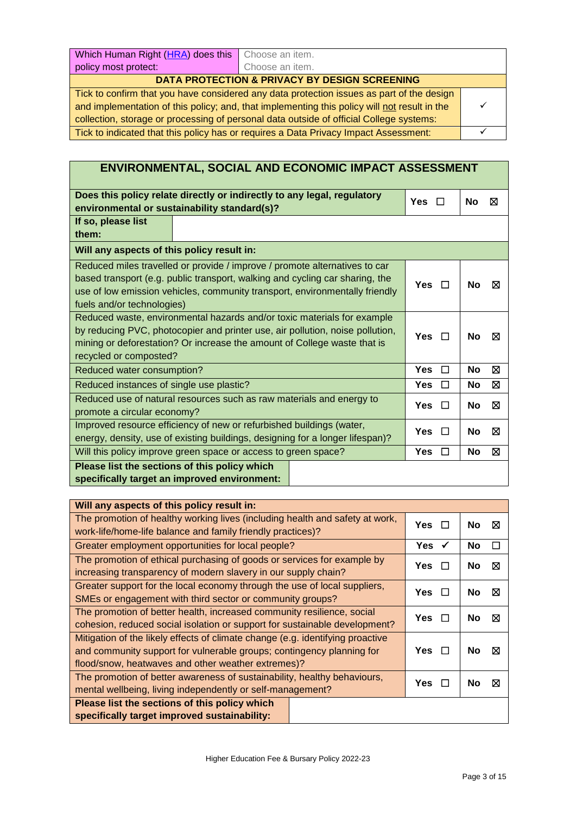| Which Human Right (HRA) does this                                                            | Choose an item. |  |  |
|----------------------------------------------------------------------------------------------|-----------------|--|--|
| policy most protect:                                                                         | Choose an item. |  |  |
| <b>DATA PROTECTION &amp; PRIVACY BY DESIGN SCREENING</b>                                     |                 |  |  |
| Tick to confirm that you have considered any data protection issues as part of the design    |                 |  |  |
| and implementation of this policy; and, that implementing this policy will not result in the |                 |  |  |

collection, storage or processing of personal data outside of official College systems: Tick to indicated that this policy has or requires a Data Privacy Impact Assessment: <del>○ ○</del>

| <b>ENVIRONMENTAL, SOCIAL AND ECONOMIC IMPACT ASSESSMENT</b>                                                                                                                                                                                                             |                      |                |  |  |  |
|-------------------------------------------------------------------------------------------------------------------------------------------------------------------------------------------------------------------------------------------------------------------------|----------------------|----------------|--|--|--|
|                                                                                                                                                                                                                                                                         |                      |                |  |  |  |
| Does this policy relate directly or indirectly to any legal, regulatory<br>environmental or sustainability standard(s)?                                                                                                                                                 | <b>Yes</b><br>П      | No<br>⊠        |  |  |  |
| If so, please list<br>them:                                                                                                                                                                                                                                             |                      |                |  |  |  |
| Will any aspects of this policy result in:                                                                                                                                                                                                                              |                      |                |  |  |  |
| Reduced miles travelled or provide / improve / promote alternatives to car<br>based transport (e.g. public transport, walking and cycling car sharing, the<br>use of low emission vehicles, community transport, environmentally friendly<br>fuels and/or technologies) | Yes $\Box$           | No<br>⊠        |  |  |  |
| Reduced waste, environmental hazards and/or toxic materials for example<br>by reducing PVC, photocopier and printer use, air pollution, noise pollution,<br>mining or deforestation? Or increase the amount of College waste that is<br>recycled or composted?          | Yes $\Box$           | <b>No</b><br>⊠ |  |  |  |
| Reduced water consumption?                                                                                                                                                                                                                                              | <b>Yes</b><br>$\Box$ | ⊠<br><b>No</b> |  |  |  |
| Reduced instances of single use plastic?                                                                                                                                                                                                                                | <b>Yes</b><br>$\Box$ | ⊠<br><b>No</b> |  |  |  |
| Reduced use of natural resources such as raw materials and energy to<br>promote a circular economy?                                                                                                                                                                     | <b>Yes</b><br>$\Box$ | No<br>⊠        |  |  |  |
| Improved resource efficiency of new or refurbished buildings (water,<br>energy, density, use of existing buildings, designing for a longer lifespan)?                                                                                                                   | <b>Yes</b><br>$\Box$ | No<br>⊠        |  |  |  |
| Will this policy improve green space or access to green space?                                                                                                                                                                                                          | Yes<br>$\Box$        | <b>No</b><br>⊠ |  |  |  |
| Please list the sections of this policy which<br>specifically target an improved environment:                                                                                                                                                                           |                      |                |  |  |  |

| Will any aspects of this policy result in:                                     |                      |                |
|--------------------------------------------------------------------------------|----------------------|----------------|
| The promotion of healthy working lives (including health and safety at work,   | Yes $\Box$           | ⊠<br><b>No</b> |
| work-life/home-life balance and family friendly practices)?                    |                      |                |
| Greater employment opportunities for local people?                             | Yes $\checkmark$     | <b>No</b><br>П |
| The promotion of ethical purchasing of goods or services for example by        | <b>Yes</b>           | ⊠<br>No        |
| increasing transparency of modern slavery in our supply chain?                 |                      |                |
| Greater support for the local economy through the use of local suppliers,      | Yes<br>$\Box$        | ⊠<br>No        |
| SMEs or engagement with third sector or community groups?                      |                      |                |
| The promotion of better health, increased community resilience, social         | Yes $\Box$           | ⊠<br><b>No</b> |
| cohesion, reduced social isolation or support for sustainable development?     |                      |                |
| Mitigation of the likely effects of climate change (e.g. identifying proactive |                      |                |
| and community support for vulnerable groups; contingency planning for          | Yes $\Box$           | ⊠<br>No        |
| flood/snow, heatwaves and other weather extremes)?                             |                      |                |
| The promotion of better awareness of sustainability, healthy behaviours,       | <b>Yes</b><br>$\Box$ | ⊠<br>No        |
| mental wellbeing, living independently or self-management?                     |                      |                |
| Please list the sections of this policy which                                  |                      |                |
| specifically target improved sustainability:                                   |                      |                |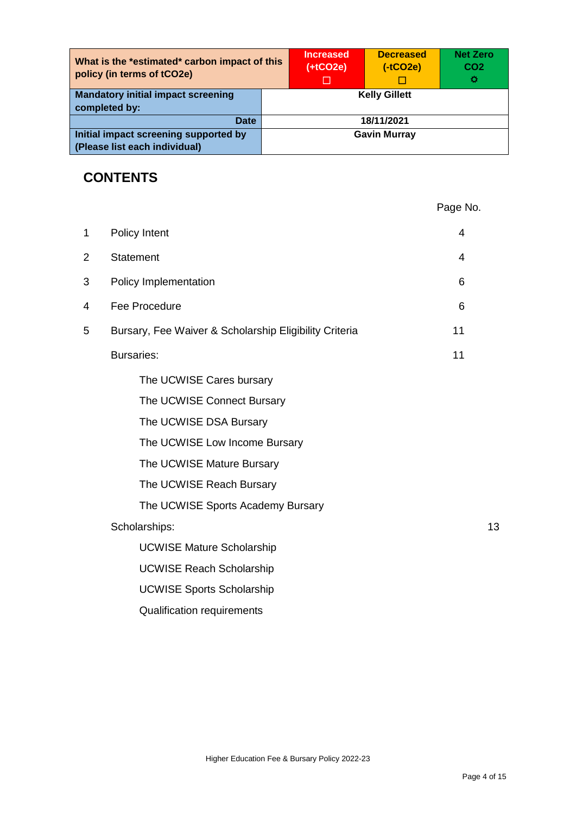| What is the *estimated* carbon impact of this<br>policy (in terms of tCO2e) |                      | <b>Increased</b><br>$(+tCO2e)$ | <b>Decreased</b><br>$(-tCO2e)$ | <b>Net Zero</b><br>CO <sub>2</sub><br>o |
|-----------------------------------------------------------------------------|----------------------|--------------------------------|--------------------------------|-----------------------------------------|
| <b>Mandatory initial impact screening</b><br>completed by:                  | <b>Kelly Gillett</b> |                                |                                |                                         |
| <b>Date</b>                                                                 | 18/11/2021           |                                |                                |                                         |
| Initial impact screening supported by<br>(Please list each individual)      | <b>Gavin Murray</b>  |                                |                                |                                         |

## **CONTENTS**

|             |                                                        | Page No. |
|-------------|--------------------------------------------------------|----------|
| $\mathbf 1$ | Policy Intent                                          | 4        |
| 2           | <b>Statement</b>                                       | 4        |
| 3           | Policy Implementation                                  | 6        |
| 4           | Fee Procedure                                          | 6        |
| 5           | Bursary, Fee Waiver & Scholarship Eligibility Criteria | 11       |
|             | <b>Bursaries:</b>                                      | 11       |
|             | The UCWISE Cares bursary                               |          |
|             | The UCWISE Connect Bursary                             |          |
|             | The UCWISE DSA Bursary                                 |          |
|             | The UCWISE Low Income Bursary                          |          |
|             | The UCWISE Mature Bursary                              |          |
|             | The UCWISE Reach Bursary                               |          |
|             | The UCWISE Sports Academy Bursary                      |          |
|             | Scholarships:                                          | 13       |
|             | <b>UCWISE Mature Scholarship</b>                       |          |
|             | <b>UCWISE Reach Scholarship</b>                        |          |
|             | <b>UCWISE Sports Scholarship</b>                       |          |
|             | <b>Qualification requirements</b>                      |          |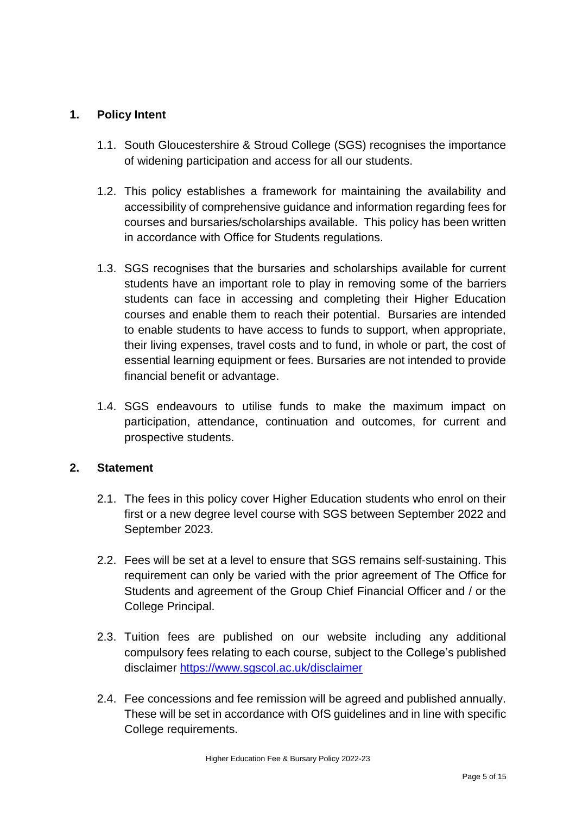## **1. Policy Intent**

- 1.1. South Gloucestershire & Stroud College (SGS) recognises the importance of widening participation and access for all our students.
- 1.2. This policy establishes a framework for maintaining the availability and accessibility of comprehensive guidance and information regarding fees for courses and bursaries/scholarships available. This policy has been written in accordance with Office for Students regulations.
- 1.3. SGS recognises that the bursaries and scholarships available for current students have an important role to play in removing some of the barriers students can face in accessing and completing their Higher Education courses and enable them to reach their potential. Bursaries are intended to enable students to have access to funds to support, when appropriate, their living expenses, travel costs and to fund, in whole or part, the cost of essential learning equipment or fees. Bursaries are not intended to provide financial benefit or advantage.
- 1.4. SGS endeavours to utilise funds to make the maximum impact on participation, attendance, continuation and outcomes, for current and prospective students.

#### **2. Statement**

- 2.1. The fees in this policy cover Higher Education students who enrol on their first or a new degree level course with SGS between September 2022 and September 2023.
- 2.2. Fees will be set at a level to ensure that SGS remains self-sustaining. This requirement can only be varied with the prior agreement of The Office for Students and agreement of the Group Chief Financial Officer and / or the College Principal.
- 2.3. Tuition fees are published on our website including any additional compulsory fees relating to each course, subject to the College's published disclaimer <https://www.sgscol.ac.uk/disclaimer>
- 2.4. Fee concessions and fee remission will be agreed and published annually. These will be set in accordance with OfS guidelines and in line with specific College requirements.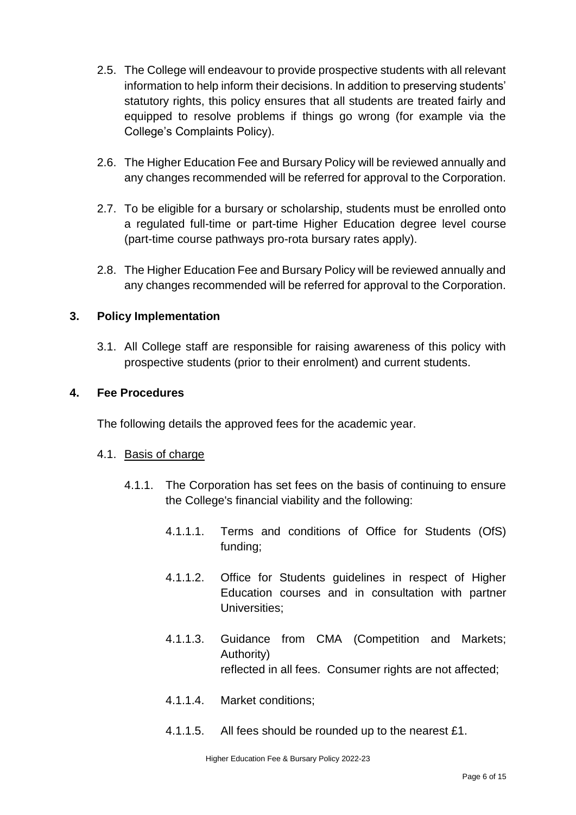- 2.5. The College will endeavour to provide prospective students with all relevant information to help inform their decisions. In addition to preserving students' statutory rights, this policy ensures that all students are treated fairly and equipped to resolve problems if things go wrong (for example via the College's Complaints Policy).
- 2.6. The Higher Education Fee and Bursary Policy will be reviewed annually and any changes recommended will be referred for approval to the Corporation.
- 2.7. To be eligible for a bursary or scholarship, students must be enrolled onto a regulated full-time or part-time Higher Education degree level course (part-time course pathways pro-rota bursary rates apply).
- 2.8. The Higher Education Fee and Bursary Policy will be reviewed annually and any changes recommended will be referred for approval to the Corporation.

## **3. Policy Implementation**

3.1. All College staff are responsible for raising awareness of this policy with prospective students (prior to their enrolment) and current students.

### **4. Fee Procedures**

The following details the approved fees for the academic year.

#### 4.1. Basis of charge

- 4.1.1. The Corporation has set fees on the basis of continuing to ensure the College's financial viability and the following:
	- 4.1.1.1. Terms and conditions of Office for Students (OfS) funding;
	- 4.1.1.2. Office for Students guidelines in respect of Higher Education courses and in consultation with partner Universities;
	- 4.1.1.3. Guidance from CMA (Competition and Markets; Authority) reflected in all fees. Consumer rights are not affected;
	- 4.1.1.4. Market conditions;
	- 4.1.1.5. All fees should be rounded up to the nearest £1.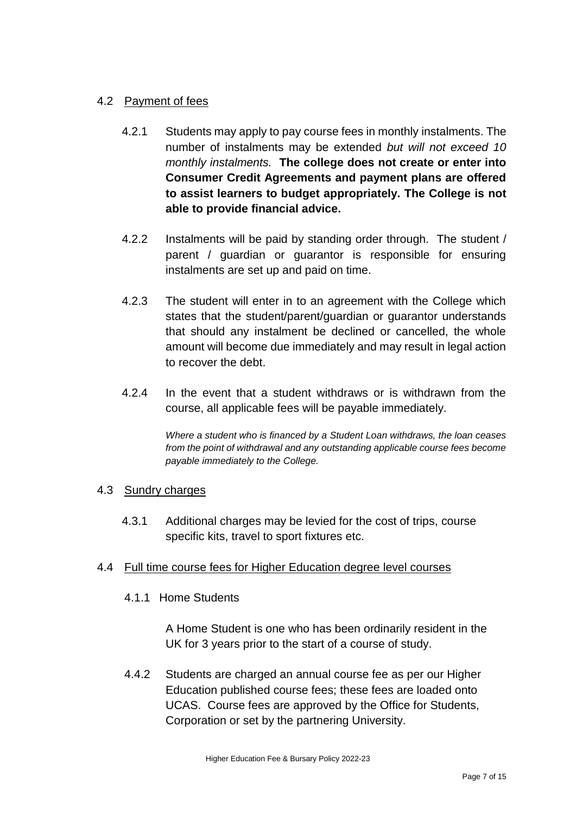## 4.2 Payment of fees

- 4.2.1 Students may apply to pay course fees in monthly instalments. The number of instalments may be extended *but will not exceed 10 monthly instalments.* **The college does not create or enter into Consumer Credit Agreements and payment plans are offered to assist learners to budget appropriately. The College is not able to provide financial advice.**
- 4.2.2 Instalments will be paid by standing order through. The student / parent / guardian or guarantor is responsible for ensuring instalments are set up and paid on time.
- 4.2.3 The student will enter in to an agreement with the College which states that the student/parent/guardian or guarantor understands that should any instalment be declined or cancelled, the whole amount will become due immediately and may result in legal action to recover the debt.
- 4.2.4 In the event that a student withdraws or is withdrawn from the course, all applicable fees will be payable immediately.

*Where a student who is financed by a Student Loan withdraws, the loan ceases from the point of withdrawal and any outstanding applicable course fees become payable immediately to the College.*

#### 4.3 Sundry charges

4.3.1 Additional charges may be levied for the cost of trips, course specific kits, travel to sport fixtures etc.

#### 4.4 Full time course fees for Higher Education degree level courses

4.1.1 Home Students

A Home Student is one who has been ordinarily resident in the UK for 3 years prior to the start of a course of study.

4.4.2 Students are charged an annual course fee as per our Higher Education published course fees; these fees are loaded onto UCAS. Course fees are approved by the Office for Students, Corporation or set by the partnering University.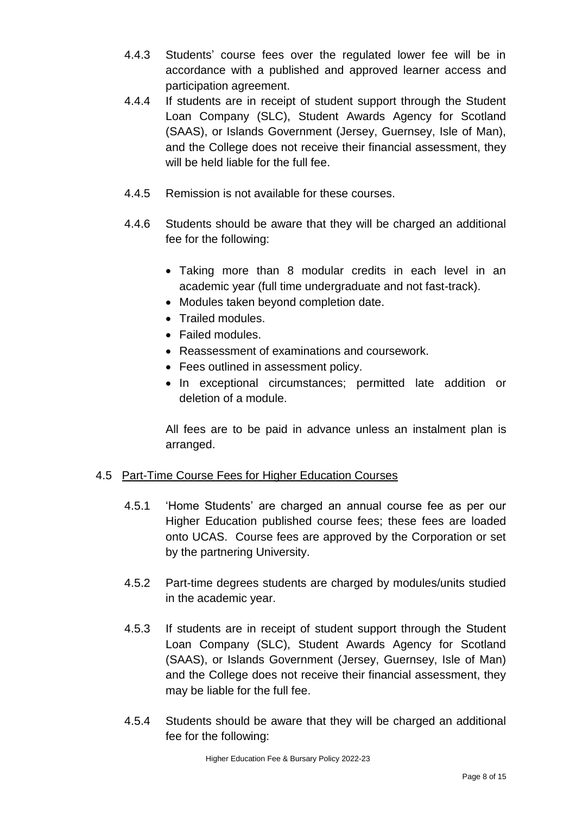- 4.4.3 Students' course fees over the regulated lower fee will be in accordance with a published and approved learner access and participation agreement.
- 4.4.4 If students are in receipt of student support through the Student Loan Company (SLC), Student Awards Agency for Scotland (SAAS), or Islands Government (Jersey, Guernsey, Isle of Man), and the College does not receive their financial assessment, they will be held liable for the full fee.
- 4.4.5 Remission is not available for these courses.
- 4.4.6 Students should be aware that they will be charged an additional fee for the following:
	- Taking more than 8 modular credits in each level in an academic year (full time undergraduate and not fast-track).
	- Modules taken beyond completion date.
	- Trailed modules.
	- Failed modules.
	- Reassessment of examinations and coursework.
	- Fees outlined in assessment policy.
	- In exceptional circumstances; permitted late addition or deletion of a module.

All fees are to be paid in advance unless an instalment plan is arranged.

## 4.5 Part-Time Course Fees for Higher Education Courses

- 4.5.1 'Home Students' are charged an annual course fee as per our Higher Education published course fees; these fees are loaded onto UCAS. Course fees are approved by the Corporation or set by the partnering University.
- 4.5.2 Part-time degrees students are charged by modules/units studied in the academic year.
- 4.5.3 If students are in receipt of student support through the Student Loan Company (SLC), Student Awards Agency for Scotland (SAAS), or Islands Government (Jersey, Guernsey, Isle of Man) and the College does not receive their financial assessment, they may be liable for the full fee.
- 4.5.4 Students should be aware that they will be charged an additional fee for the following: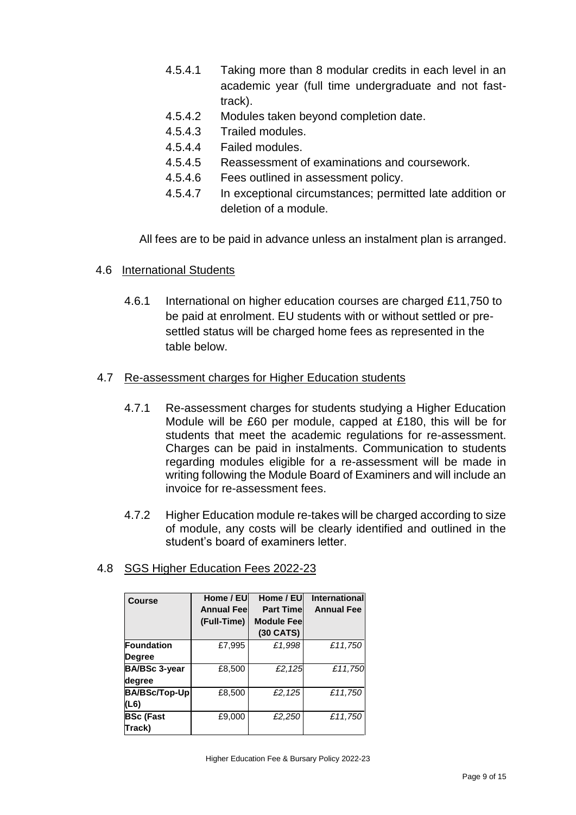- 4.5.4.1 Taking more than 8 modular credits in each level in an academic year (full time undergraduate and not fasttrack).
- 4.5.4.2 Modules taken beyond completion date.
- 4.5.4.3 Trailed modules.
- 4.5.4.4 Failed modules.
- 4.5.4.5 Reassessment of examinations and coursework.
- 4.5.4.6 Fees outlined in assessment policy.
- 4.5.4.7 In exceptional circumstances; permitted late addition or deletion of a module.

All fees are to be paid in advance unless an instalment plan is arranged.

- 4.6 International Students
	- 4.6.1 International on higher education courses are charged £11,750 to be paid at enrolment. EU students with or without settled or presettled status will be charged home fees as represented in the table below.

### 4.7 Re-assessment charges for Higher Education students

- 4.7.1 Re-assessment charges for students studying a Higher Education Module will be £60 per module, capped at £180, this will be for students that meet the academic regulations for re-assessment. Charges can be paid in instalments. Communication to students regarding modules eligible for a re-assessment will be made in writing following the Module Board of Examiners and will include an invoice for re-assessment fees.
- 4.7.2 Higher Education module re-takes will be charged according to size of module, any costs will be clearly identified and outlined in the student's board of examiners letter.

| 4.8 SGS Higher Education Fees 2022-23 |  |
|---------------------------------------|--|
|---------------------------------------|--|

| <b>Course</b>        | Home / EU<br><b>Annual Feel</b> | Home / EU<br><b>Part Time</b> | <b>International</b><br><b>Annual Fee</b> |
|----------------------|---------------------------------|-------------------------------|-------------------------------------------|
|                      | (Full-Time)                     | <b>Module Fee</b>             |                                           |
|                      |                                 | (30 CATS)                     |                                           |
| <b>Foundation</b>    | £7,995                          | £1,998                        | £11,750                                   |
| <b>Degree</b>        |                                 |                               |                                           |
| <b>BA/BSc 3-year</b> | £8,500                          | £2,125                        | £11,750                                   |
| degree               |                                 |                               |                                           |
| <b>BA/BSc/Top-Up</b> | £8,500                          | £2,125                        | £11,750                                   |
| (L6)                 |                                 |                               |                                           |
| <b>BSc (Fast</b>     | £9,000                          | £2,250                        | £11,750                                   |
| Track)               |                                 |                               |                                           |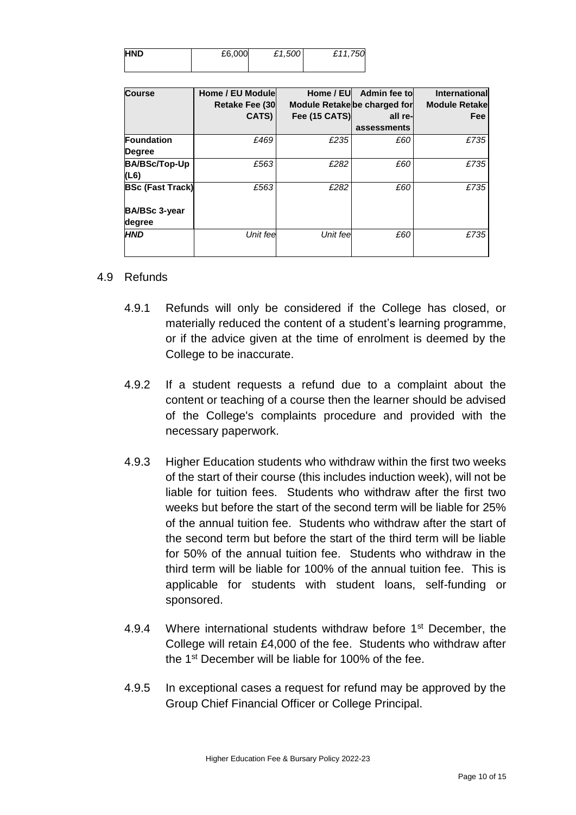| <b>HND</b> | £6,000 | £1,500 | £11,750 |
|------------|--------|--------|---------|
|            |        |        |         |

| Course                  | Home / EU Module<br><b>Retake Fee (30)</b> | Module Retake be charged for | Home / EU Admin fee to | International<br><b>Module Retakel</b> |
|-------------------------|--------------------------------------------|------------------------------|------------------------|----------------------------------------|
|                         | CATS)                                      | <b>Fee (15 CATS)</b>         | all re-                | <b>Fee</b>                             |
|                         |                                            |                              | assessments            |                                        |
| Foundation              | £469                                       | £235                         | £60                    | £735                                   |
| Degree                  |                                            |                              |                        |                                        |
| BA/BSc/Top-Up           | £563                                       | £282                         | £60                    | £735                                   |
| (L6)                    |                                            |                              |                        |                                        |
| <b>BSc (Fast Track)</b> | £563                                       | £282                         | £60                    | £735                                   |
| <b>BA/BSc 3-year</b>    |                                            |                              |                        |                                        |
| degree                  |                                            |                              |                        |                                        |
| <b>HND</b>              | Unit fee                                   | Unit fee                     | £60                    | £735                                   |
|                         |                                            |                              |                        |                                        |

#### 4.9 Refunds

- 4.9.1 Refunds will only be considered if the College has closed, or materially reduced the content of a student's learning programme, or if the advice given at the time of enrolment is deemed by the College to be inaccurate.
- 4.9.2 If a student requests a refund due to a complaint about the content or teaching of a course then the learner should be advised of the College's complaints procedure and provided with the necessary paperwork.
- 4.9.3 Higher Education students who withdraw within the first two weeks of the start of their course (this includes induction week), will not be liable for tuition fees. Students who withdraw after the first two weeks but before the start of the second term will be liable for 25% of the annual tuition fee. Students who withdraw after the start of the second term but before the start of the third term will be liable for 50% of the annual tuition fee. Students who withdraw in the third term will be liable for 100% of the annual tuition fee. This is applicable for students with student loans, self-funding or sponsored.
- 4.9.4 Where international students withdraw before 1<sup>st</sup> December, the College will retain £4,000 of the fee. Students who withdraw after the 1st December will be liable for 100% of the fee.
- 4.9.5 In exceptional cases a request for refund may be approved by the Group Chief Financial Officer or College Principal.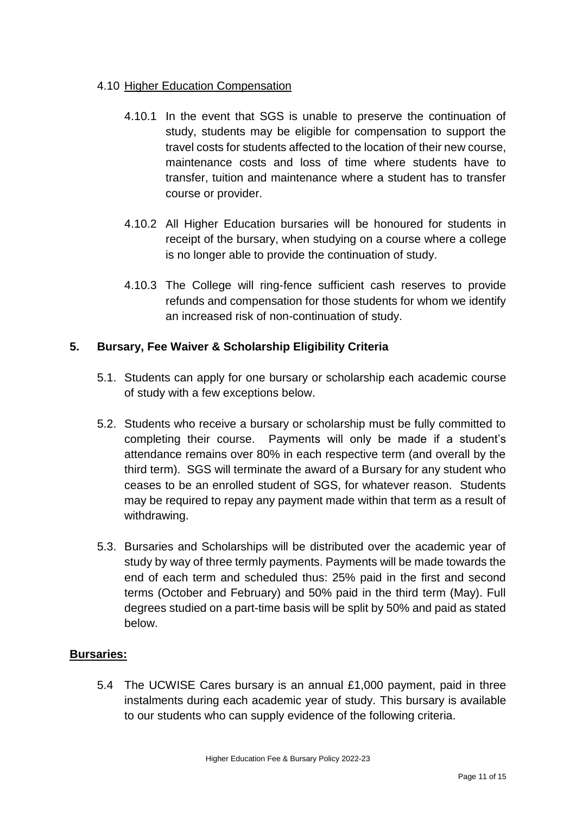## 4.10 Higher Education Compensation

- 4.10.1 In the event that SGS is unable to preserve the continuation of study, students may be eligible for compensation to support the travel costs for students affected to the location of their new course, maintenance costs and loss of time where students have to transfer, tuition and maintenance where a student has to transfer course or provider.
- 4.10.2 All Higher Education bursaries will be honoured for students in receipt of the bursary, when studying on a course where a college is no longer able to provide the continuation of study.
- 4.10.3 The College will ring-fence sufficient cash reserves to provide refunds and compensation for those students for whom we identify an increased risk of non-continuation of study.

## **5. Bursary, Fee Waiver & Scholarship Eligibility Criteria**

- 5.1. Students can apply for one bursary or scholarship each academic course of study with a few exceptions below.
- 5.2. Students who receive a bursary or scholarship must be fully committed to completing their course. Payments will only be made if a student's attendance remains over 80% in each respective term (and overall by the third term). SGS will terminate the award of a Bursary for any student who ceases to be an enrolled student of SGS, for whatever reason. Students may be required to repay any payment made within that term as a result of withdrawing.
- 5.3. Bursaries and Scholarships will be distributed over the academic year of study by way of three termly payments. Payments will be made towards the end of each term and scheduled thus: 25% paid in the first and second terms (October and February) and 50% paid in the third term (May). Full degrees studied on a part-time basis will be split by 50% and paid as stated below.

## **Bursaries:**

5.4 The UCWISE Cares bursary is an annual £1,000 payment, paid in three instalments during each academic year of study. This bursary is available to our students who can supply evidence of the following criteria.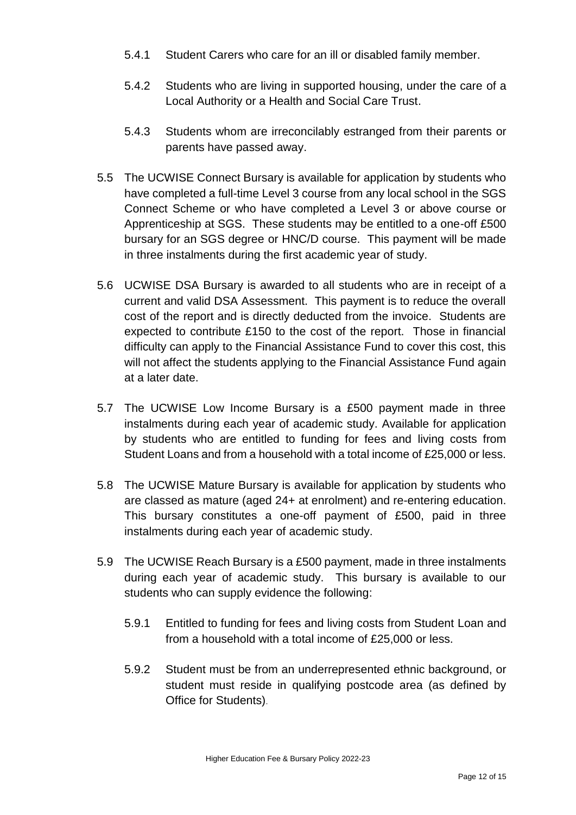- 5.4.1 Student Carers who care for an ill or disabled family member.
- 5.4.2 Students who are living in supported housing, under the care of a Local Authority or a Health and Social Care Trust.
- 5.4.3 Students whom are irreconcilably estranged from their parents or parents have passed away.
- 5.5 The UCWISE Connect Bursary is available for application by students who have completed a full-time Level 3 course from any local school in the SGS Connect Scheme or who have completed a Level 3 or above course or Apprenticeship at SGS. These students may be entitled to a one-off £500 bursary for an SGS degree or HNC/D course. This payment will be made in three instalments during the first academic year of study.
- 5.6 UCWISE DSA Bursary is awarded to all students who are in receipt of a current and valid DSA Assessment. This payment is to reduce the overall cost of the report and is directly deducted from the invoice. Students are expected to contribute £150 to the cost of the report. Those in financial difficulty can apply to the Financial Assistance Fund to cover this cost, this will not affect the students applying to the Financial Assistance Fund again at a later date.
- 5.7 The UCWISE Low Income Bursary is a £500 payment made in three instalments during each year of academic study. Available for application by students who are entitled to funding for fees and living costs from Student Loans and from a household with a total income of £25,000 or less.
- 5.8 The UCWISE Mature Bursary is available for application by students who are classed as mature (aged 24+ at enrolment) and re-entering education. This bursary constitutes a one-off payment of £500, paid in three instalments during each year of academic study.
- 5.9 The UCWISE Reach Bursary is a £500 payment, made in three instalments during each year of academic study. This bursary is available to our students who can supply evidence the following:
	- 5.9.1 Entitled to funding for fees and living costs from Student Loan and from a household with a total income of £25,000 or less.
	- 5.9.2 Student must be from an underrepresented ethnic background, or student must reside in qualifying postcode area (as defined by Office for Students).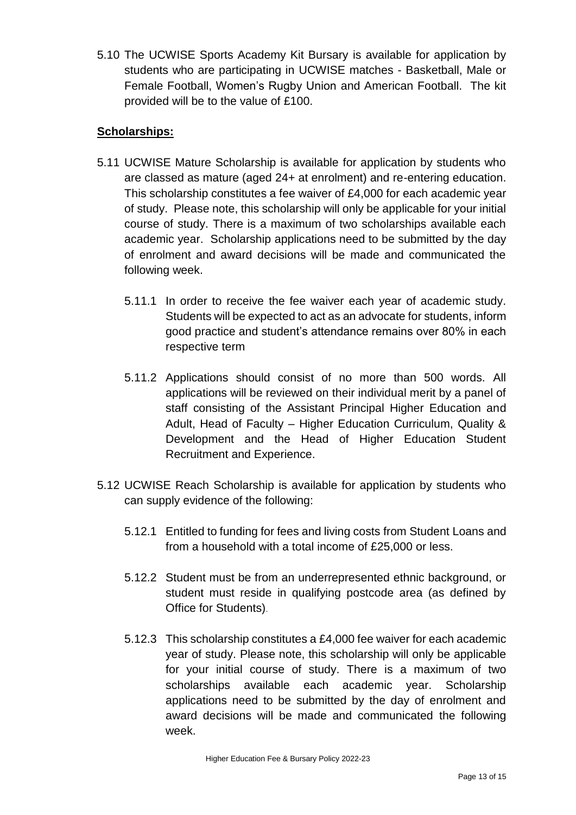5.10 The UCWISE Sports Academy Kit Bursary is available for application by students who are participating in UCWISE matches - Basketball, Male or Female Football, Women's Rugby Union and American Football. The kit provided will be to the value of £100.

## **Scholarships:**

- 5.11 UCWISE Mature Scholarship is available for application by students who are classed as mature (aged 24+ at enrolment) and re-entering education. This scholarship constitutes a fee waiver of £4,000 for each academic year of study. Please note, this scholarship will only be applicable for your initial course of study. There is a maximum of two scholarships available each academic year. Scholarship applications need to be submitted by the day of enrolment and award decisions will be made and communicated the following week.
	- 5.11.1 In order to receive the fee waiver each year of academic study. Students will be expected to act as an advocate for students, inform good practice and student's attendance remains over 80% in each respective term
	- 5.11.2 Applications should consist of no more than 500 words. All applications will be reviewed on their individual merit by a panel of staff consisting of the Assistant Principal Higher Education and Adult, Head of Faculty – Higher Education Curriculum, Quality & Development and the Head of Higher Education Student Recruitment and Experience.
- 5.12 UCWISE Reach Scholarship is available for application by students who can supply evidence of the following:
	- 5.12.1 Entitled to funding for fees and living costs from Student Loans and from a household with a total income of £25,000 or less.
	- 5.12.2 Student must be from an underrepresented ethnic background, or student must reside in qualifying postcode area (as defined by Office for Students).
	- 5.12.3 This scholarship constitutes a £4,000 fee waiver for each academic year of study. Please note, this scholarship will only be applicable for your initial course of study. There is a maximum of two scholarships available each academic year. Scholarship applications need to be submitted by the day of enrolment and award decisions will be made and communicated the following week.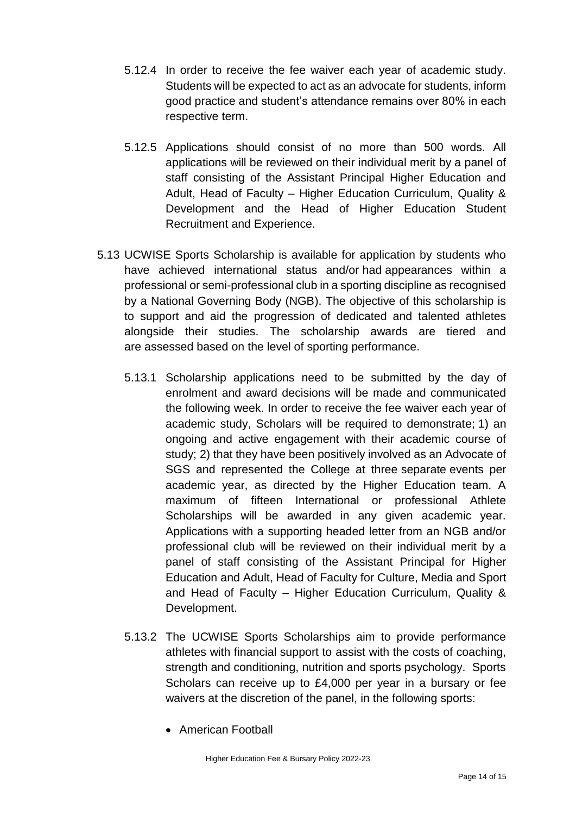- 5.12.4 In order to receive the fee waiver each year of academic study. Students will be expected to act as an advocate for students, inform good practice and student's attendance remains over 80% in each respective term.
- 5.12.5 Applications should consist of no more than 500 words. All applications will be reviewed on their individual merit by a panel of staff consisting of the Assistant Principal Higher Education and Adult, Head of Faculty – Higher Education Curriculum, Quality & Development and the Head of Higher Education Student Recruitment and Experience.
- 5.13 UCWISE Sports Scholarship is available for application by students who have achieved international status and/or had appearances within a professional or semi-professional club in a sporting discipline as recognised by a National Governing Body (NGB). The objective of this scholarship is to support and aid the progression of dedicated and talented athletes alongside their studies. The scholarship awards are tiered and are assessed based on the level of sporting performance.
	- 5.13.1 Scholarship applications need to be submitted by the day of enrolment and award decisions will be made and communicated the following week. In order to receive the fee waiver each year of academic study, Scholars will be required to demonstrate; 1) an ongoing and active engagement with their academic course of study; 2) that they have been positively involved as an Advocate of SGS and represented the College at three separate events per academic year, as directed by the Higher Education team. A maximum of fifteen International or professional Athlete Scholarships will be awarded in any given academic year. Applications with a supporting headed letter from an NGB and/or professional club will be reviewed on their individual merit by a panel of staff consisting of the Assistant Principal for Higher Education and Adult, Head of Faculty for Culture, Media and Sport and Head of Faculty – Higher Education Curriculum, Quality & Development.
	- 5.13.2 The UCWISE Sports Scholarships aim to provide performance athletes with financial support to assist with the costs of coaching, strength and conditioning, nutrition and sports psychology. Sports Scholars can receive up to £4,000 per year in a bursary or fee waivers at the discretion of the panel, in the following sports:
		- American Football